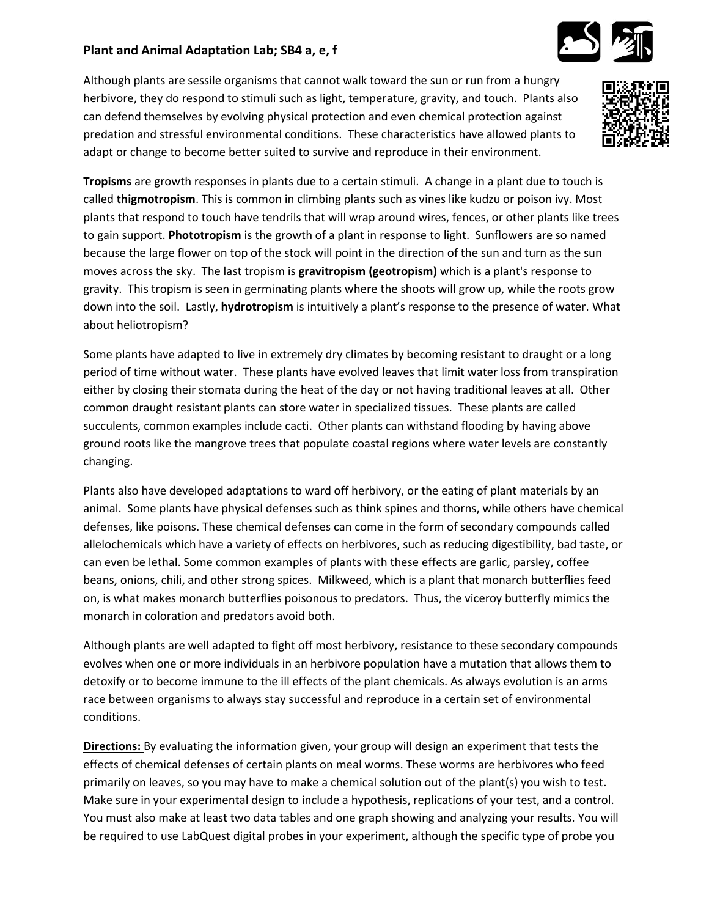## **Plant and Animal Adaptation Lab; SB4 a, e, f**

Although plants are sessile organisms that cannot walk toward the sun or run from a hungry herbivore, they do respond to stimuli such as light, temperature, gravity, and touch. Plants also can defend themselves by evolving physical protection and even chemical protection against predation and stressful environmental conditions. These characteristics have allowed plants to adapt or change to become better suited to survive and reproduce in their environment.



**Tropisms** are growth responses in plants due to a certain stimuli. A change in a plant due to touch is called **thigmotropism**. This is common in climbing plants such as vines like kudzu or poison ivy. Most plants that respond to touch have tendrils that will wrap around wires, fences, or other plants like trees to gain support. **Phototropism** is the growth of a plant in response to light. Sunflowers are so named because the large flower on top of the stock will point in the direction of the sun and turn as the sun moves across the sky. The last tropism is **gravitropism (geotropism)** which is a plant's response to gravity. This tropism is seen in germinating plants where the shoots will grow up, while the roots grow down into the soil. Lastly, **hydrotropism** is intuitively a plant's response to the presence of water. What about heliotropism?

Some plants have adapted to live in extremely dry climates by becoming resistant to draught or a long period of time without water. These plants have evolved leaves that limit water loss from transpiration either by closing their stomata during the heat of the day or not having traditional leaves at all. Other common draught resistant plants can store water in specialized tissues. These plants are called succulents, common examples include cacti. Other plants can withstand flooding by having above ground roots like the mangrove trees that populate coastal regions where water levels are constantly changing.

Plants also have developed adaptations to ward off herbivory, or the eating of plant materials by an animal. Some plants have physical defenses such as think spines and thorns, while others have chemical defenses, like poisons. These chemical defenses can come in the form of secondary compounds called allelochemicals which have a variety of effects on herbivores, such as reducing digestibility, bad taste, or can even be lethal. Some common examples of plants with these effects are garlic, parsley, coffee beans, onions, chili, and other strong spices. Milkweed, which is a plant that monarch butterflies feed on, is what makes monarch butterflies poisonous to predators. Thus, the viceroy butterfly mimics the monarch in coloration and predators avoid both.

Although plants are well adapted to fight off most herbivory, resistance to these secondary compounds evolves when one or more individuals in an herbivore population have a mutation that allows them to detoxify or to become immune to the ill effects of the plant chemicals. As always evolution is an arms race between organisms to always stay successful and reproduce in a certain set of environmental conditions.

**Directions:** By evaluating the information given, your group will design an experiment that tests the effects of chemical defenses of certain plants on meal worms. These worms are herbivores who feed primarily on leaves, so you may have to make a chemical solution out of the plant(s) you wish to test. Make sure in your experimental design to include a hypothesis, replications of your test, and a control. You must also make at least two data tables and one graph showing and analyzing your results. You will be required to use LabQuest digital probes in your experiment, although the specific type of probe you